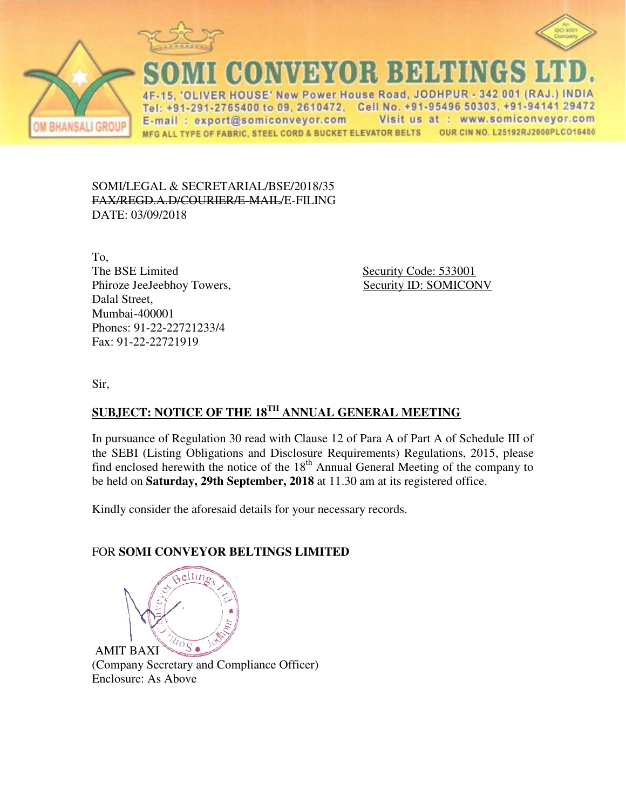



CONVEYOR BELTINGS I

ER HOUSE' New Power House Road, JODHPUR - 342 001 (RAJ.) INDIA Tel: +91-291-2765400 to 09, 2610472, Cell No. +91-95496 50303, +91-94141 29472 Visit us at : www.somiconveyor.com E-mail: export@somiconveyor.com MFG ALL TYPE OF FABRIC, STEEL CORD & BUCKET ELEVATOR BELTS OUR CIN NO. L25192RJ2000PLCO16480

SOMI/LEGAL & SECRETARIAL/BSE/2018/35 FAX/REGD.A.D/COURIER/E-MAIL/E-FILING DATE: 03/09/2018

To, The BSE Limited Security Code: 533001 Phiroze JeeJeebhoy Towers, Security ID: SOMICONV Dalal Street, Mumbai-400001 Phones: 91-22-22721233/4 Fax: 91-22-22721919

Sir,

# **SUBJECT: NOTICE OF THE 18TH ANNUAL GENERAL MEETING**

In pursuance of Regulation 30 read with Clause 12 of Para A of Part A of Schedule III of the SEBI (Listing Obligations and Disclosure Requirements) Regulations, 2015, please find enclosed herewith the notice of the  $18<sup>th</sup>$  Annual General Meeting of the company to be held on **Saturday, 29th September, 2018** at 11.30 am at its registered office.

Kindly consider the aforesaid details for your necessary records.

# FOR **SOMI CONVEYOR BELTINGS LIMITED**



(Company Secretary and Compliance Officer) Enclosure: As Above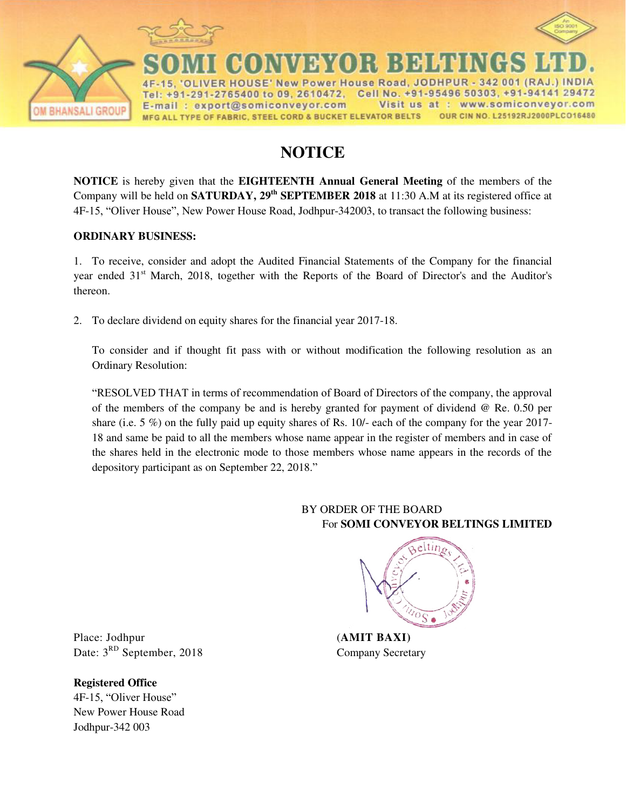

New Power House Road, JODHPUR - 342 001 (RAJ HOUS 2765400 to 09, 2610472, Cell No. +91-95496 50303, +91-94141 29472 Te  $+91 - 291$ Visit us at : E-mail: export@somiconveyor.com www.somiconveyor.com OUR CIN NO. L25192RJ2000PLCO16480 MFG ALL TYPE OF FABRIC, STEEL CORD & BUCKET ELEVATOR BELTS

# **NOTICE**

**NOTICE** is hereby given that the **EIGHTEENTH Annual General Meeting** of the members of the Company will be held on **SATURDAY, 29<sup>th</sup> SEPTEMBER 2018** at 11:30 A.M at its registered office at 4F-15, "Oliver House", New Power House Road, Jodhpur-342003, to transact the following business:

## **ORDINARY BUSINESS:**

1. To receive, consider and adopt the Audited Financial Statements of the Company for the financial year ended 31<sup>st</sup> March, 2018, together with the Reports of the Board of Director's and the Auditor's thereon.

2. To declare dividend on equity shares for the financial year 2017-18.

To consider and if thought fit pass with or without modification the following resolution as an Ordinary Resolution:

"RESOLVED THAT in terms of recommendation of Board of Directors of the company, the approval of the members of the company be and is hereby granted for payment of dividend @ Re. 0.50 per share (i.e. 5  $\%$ ) on the fully paid up equity shares of Rs. 10/- each of the company for the year 2017-18 and same be paid to all the members whose name appear in the register of members and in case of the shares held in the electronic mode to those members whose name appears in the records of the depository participant as on September 22, 2018."

# BY ORDER OF THE BOARD For **SOMI CONVEYOR BELTINGS LIMITED**



Place: Jodhpur (**AMIT BAXI**) Date:  $3^{RD}$  September, 2018 Company Secretary

**Registered Office**  4F-15, "Oliver House" New Power House Road Jodhpur-342 003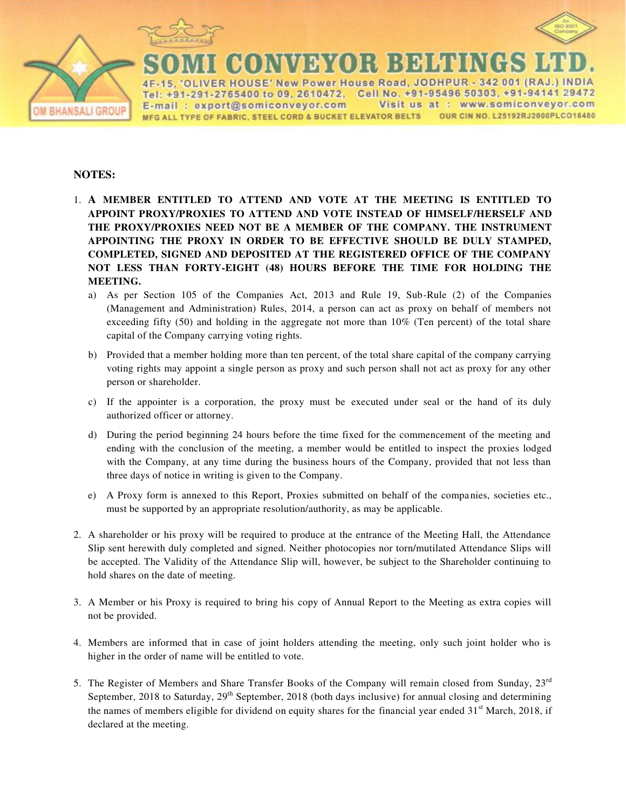



New Power House Road, JODHPUR - 342 001 (RAJ Cell No. +91-95496 50303, +91-94141 29472 2765400 to 09, 2610472, Te www.somiconveyor.com export@somiconveyor.com Visit us at E-mail OUR CIN NO. L25192RJ2000PLCO16480 MFG ALL TYPE OF FABRIC, STEEL CORD & BUCKET ELEVATOR BELTS

### **NOTES:**

**BHANSALI GROUI** 

- 1. **A MEMBER ENTITLED TO ATTEND AND VOTE AT THE MEETING IS ENTITLED TO APPOINT PROXY/PROXIES TO ATTEND AND VOTE INSTEAD OF HIMSELF/HERSELF AND THE PROXY/PROXIES NEED NOT BE A MEMBER OF THE COMPANY. THE INSTRUMENT APPOINTING THE PROXY IN ORDER TO BE EFFECTIVE SHOULD BE DULY STAMPED, COMPLETED, SIGNED AND DEPOSITED AT THE REGISTERED OFFICE OF THE COMPANY NOT LESS THAN FORTY-EIGHT (48) HOURS BEFORE THE TIME FOR HOLDING THE MEETING.** 
	- a) As per Section 105 of the Companies Act, 2013 and Rule 19, Sub-Rule (2) of the Companies (Management and Administration) Rules, 2014, a person can act as proxy on behalf of members not exceeding fifty  $(50)$  and holding in the aggregate not more than  $10\%$  (Ten percent) of the total share capital of the Company carrying voting rights.
	- b) Provided that a member holding more than ten percent, of the total share capital of the company carrying voting rights may appoint a single person as proxy and such person shall not act as proxy for any other person or shareholder.
	- c) If the appointer is a corporation, the proxy must be executed under seal or the hand of its duly authorized officer or attorney.
	- d) During the period beginning 24 hours before the time fixed for the commencement of the meeting and ending with the conclusion of the meeting, a member would be entitled to inspect the proxies lodged with the Company, at any time during the business hours of the Company, provided that not less than three days of notice in writing is given to the Company.
	- e) A Proxy form is annexed to this Report, Proxies submitted on behalf of the companies, societies etc., must be supported by an appropriate resolution/authority, as may be applicable.
- 2. A shareholder or his proxy will be required to produce at the entrance of the Meeting Hall, the Attendance Slip sent herewith duly completed and signed. Neither photocopies nor torn/mutilated Attendance Slips will be accepted. The Validity of the Attendance Slip will, however, be subject to the Shareholder continuing to hold shares on the date of meeting.
- 3. A Member or his Proxy is required to bring his copy of Annual Report to the Meeting as extra copies will not be provided.
- 4. Members are informed that in case of joint holders attending the meeting, only such joint holder who is higher in the order of name will be entitled to vote.
- 5. The Register of Members and Share Transfer Books of the Company will remain closed from Sunday, 23rd September, 2018 to Saturday,  $29<sup>th</sup>$  September, 2018 (both days inclusive) for annual closing and determining the names of members eligible for dividend on equity shares for the financial year ended  $31<sup>st</sup>$  March, 2018, if declared at the meeting.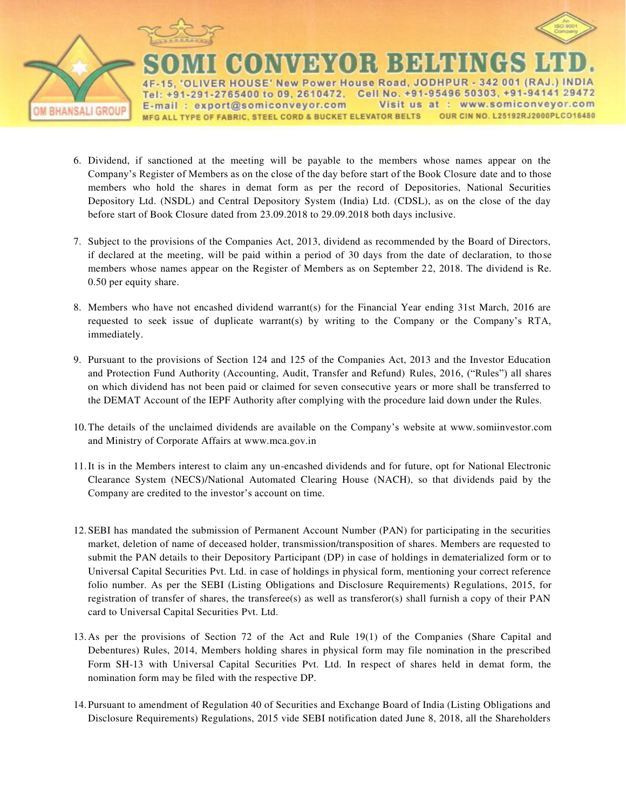

R HOUSE' New Power House Road, JODHPUR - 342 001 (RAJ Cell No. +91-95496 50303, +91-94141 29472 Tel: +91-291-2765400 to 09, 2610472, www.somiconveyor.com E-mail: export@somiconveyor.com Visit us at : OUR CIN NO. L25192RJ2000PLCO16480 MFG ALL TYPE OF FABRIC, STEEL CORD & BUCKET ELEVATOR BELTS

- 6. Dividend, if sanctioned at the meeting will be payable to the members whose names appear on the Company"s Register of Members as on the close of the day before start of the Book Closure date and to those members who hold the shares in demat form as per the record of Depositories, National Securities Depository Ltd. (NSDL) and Central Depository System (India) Ltd. (CDSL), as on the close of the day before start of Book Closure dated from 23.09.2018 to 29.09.2018 both days inclusive.
- 7. Subject to the provisions of the Companies Act, 2013, dividend as recommended by the Board of Directors, if declared at the meeting, will be paid within a period of 30 days from the date of declaration, to those members whose names appear on the Register of Members as on September 22, 2018. The dividend is Re. 0.50 per equity share.
- 8. Members who have not encashed dividend warrant(s) for the Financial Year ending 31st March, 2016 are requested to seek issue of duplicate warrant(s) by writing to the Company or the Company"s RTA, immediately.
- 9. Pursuant to the provisions of Section 124 and 125 of the Companies Act, 2013 and the Investor Education and Protection Fund Authority (Accounting, Audit, Transfer and Refund) Rules, 2016, ("Rules") all shares on which dividend has not been paid or claimed for seven consecutive years or more shall be transferred to the DEMAT Account of the IEPF Authority after complying with the procedure laid down under the Rules.
- 10.The details of the unclaimed dividends are available on the Company"s website at www.somiinvestor.com and Ministry of Corporate Affairs at www.mca.gov.in
- 11.It is in the Members interest to claim any un-encashed dividends and for future, opt for National Electronic Clearance System (NECS)/National Automated Clearing House (NACH), so that dividends paid by the Company are credited to the investor's account on time.
- 12.SEBI has mandated the submission of Permanent Account Number (PAN) for participating in the securities market, deletion of name of deceased holder, transmission/transposition of shares. Members are requested to submit the PAN details to their Depository Participant (DP) in case of holdings in dematerialized form or to Universal Capital Securities Pvt. Ltd. in case of holdings in physical form, mentioning your correct reference folio number. As per the SEBI (Listing Obligations and Disclosure Requirements) Regulations, 2015, for registration of transfer of shares, the transferee(s) as well as transferor(s) shall furnish a copy of their PAN card to Universal Capital Securities Pvt. Ltd.
- 13.As per the provisions of Section 72 of the Act and Rule 19(1) of the Companies (Share Capital and Debentures) Rules, 2014, Members holding shares in physical form may file nomination in the prescribed Form SH-13 with Universal Capital Securities Pvt. Ltd. In respect of shares held in demat form, the nomination form may be filed with the respective DP.
- 14.Pursuant to amendment of Regulation 40 of Securities and Exchange Board of India (Listing Obligations and Disclosure Requirements) Regulations, 2015 vide SEBI notification dated June 8, 2018, all the Shareholders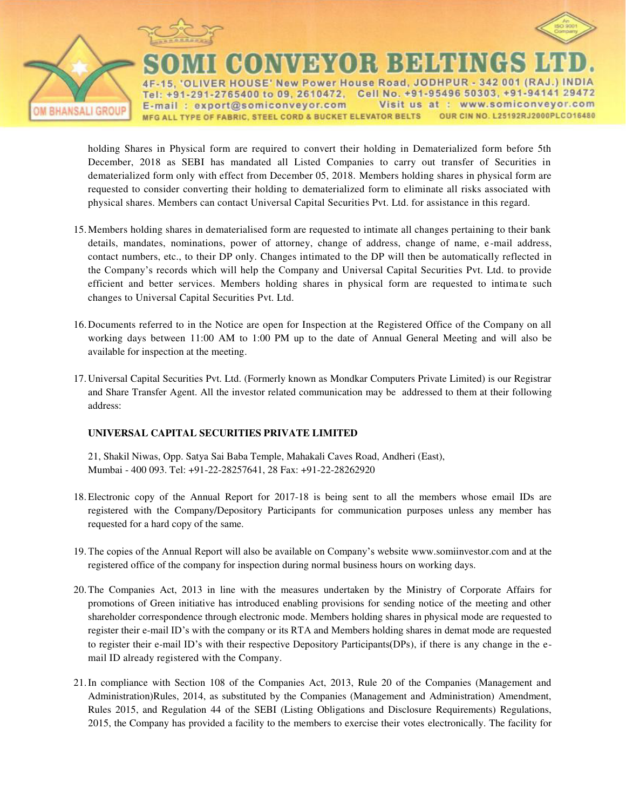

R HOUSE' New Power House Road, JODHPUR - 342 001 (RAJ Cell No. +91-95496 50303, +91-94141 29472 +91-291-2765400 to 09, 2610472, Te Visit us E-mail: export@somiconveyor.com at www.somiconveyor.com MFG ALL TYPE OF FABRIC, STEEL CORD & BUCKET ELEVATOR BELTS OUR CIN NO. L25192RJ2000PLCO16480

holding Shares in Physical form are required to convert their holding in Dematerialized form before 5th December, 2018 as SEBI has mandated all Listed Companies to carry out transfer of Securities in dematerialized form only with effect from December 05, 2018. Members holding shares in physical form are requested to consider converting their holding to dematerialized form to eliminate all risks associated with physical shares. Members can contact Universal Capital Securities Pvt. Ltd. for assistance in this regard.

- 15.Members holding shares in dematerialised form are requested to intimate all changes pertaining to their bank details, mandates, nominations, power of attorney, change of address, change of name, e-mail address, contact numbers, etc., to their DP only. Changes intimated to the DP will then be automatically reflected in the Company"s records which will help the Company and Universal Capital Securities Pvt. Ltd. to provide efficient and better services. Members holding shares in physical form are requested to intimate such changes to Universal Capital Securities Pvt. Ltd.
- 16.Documents referred to in the Notice are open for Inspection at the Registered Office of the Company on all working days between 11:00 AM to 1:00 PM up to the date of Annual General Meeting and will also be available for inspection at the meeting.
- 17. Universal Capital Securities Pvt. Ltd. (Formerly known as Mondkar Computers Private Limited) is our Registrar and Share Transfer Agent. All the investor related communication may be addressed to them at their following address:

### **UNIVERSAL CAPITAL SECURITIES PRIVATE LIMITED**

21, Shakil Niwas, Opp. Satya Sai Baba Temple, Mahakali Caves Road, Andheri (East), Mumbai - 400 093. Tel: +91-22-28257641, 28 Fax: +91-22-28262920

- 18. Electronic copy of the Annual Report for 2017-18 is being sent to all the members whose email IDs are registered with the Company/Depository Participants for communication purposes unless any member has requested for a hard copy of the same.
- 19. The copies of the Annual Report will also be available on Company"s website www.somiinvestor.com and at the registered office of the company for inspection during normal business hours on working days.
- 20.The Companies Act, 2013 in line with the measures undertaken by the Ministry of Corporate Affairs for promotions of Green initiative has introduced enabling provisions for sending notice of the meeting and other shareholder correspondence through electronic mode. Members holding shares in physical mode are requested to register their e-mail ID"s with the company or its RTA and Members holding shares in demat mode are requested to register their e-mail ID"s with their respective Depository Participants(DPs), if there is any change in the email ID already registered with the Company.
- 21.In compliance with Section 108 of the Companies Act, 2013, Rule 20 of the Companies (Management and Administration)Rules, 2014, as substituted by the Companies (Management and Administration) Amendment, Rules 2015, and Regulation 44 of the SEBI (Listing Obligations and Disclosure Requirements) Regulations, 2015, the Company has provided a facility to the members to exercise their votes electronically. The facility for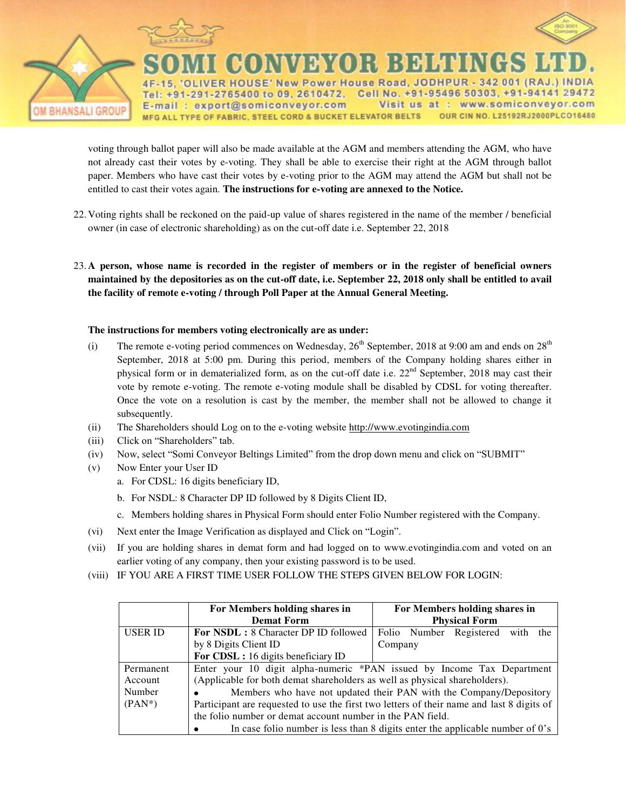

R HOUSE' New Power House Road, JODHPUR - 342 001 (RAJ +91-291-2765400 to 09, 2610472, Cell No. +91-95496 50303, +91-94141 29472 Te www.somiconveyor.com E-mail: export@somiconveyor.com Visit us at : MFG ALL TYPE OF FABRIC, STEEL CORD & BUCKET ELEVATOR BELTS OUR CIN NO. L25192RJ2000PLCO16480

voting through ballot paper will also be made available at the AGM and members attending the AGM, who have not already cast their votes by e-voting. They shall be able to exercise their right at the AGM through ballot paper. Members who have cast their votes by e-voting prior to the AGM may attend the AGM but shall not be entitled to cast their votes again. **The instructions for e-voting are annexed to the Notice.** 

22.Voting rights shall be reckoned on the paid-up value of shares registered in the name of the member / beneficial owner (in case of electronic shareholding) as on the cut-off date i.e. September 22, 2018

23.**A person, whose name is recorded in the register of members or in the register of beneficial owners maintained by the depositories as on the cut-off date, i.e. September 22, 2018 only shall be entitled to avail the facility of remote e-voting / through Poll Paper at the Annual General Meeting.**

### **The instructions for members voting electronically are as under:**

- (i) The remote e-voting period commences on Wednesday,  $26<sup>th</sup>$  September, 2018 at 9:00 am and ends on  $28<sup>th</sup>$ September, 2018 at 5:00 pm. During this period, members of the Company holding shares either in physical form or in dematerialized form, as on the cut-off date i.e.  $22<sup>nd</sup>$  September, 2018 may cast their vote by remote e-voting. The remote e-voting module shall be disabled by CDSL for voting thereafter. Once the vote on a resolution is cast by the member, the member shall not be allowed to change it subsequently.
- (ii) The Shareholders should Log on to the e-voting website http://www.evotingindia.com
- (iii) Click on "Shareholders" tab.
- (iv) Now, select "Somi Conveyor Beltings Limited" from the drop down menu and click on "SUBMIT"
- (v) Now Enter your User ID
	- a. For CDSL: 16 digits beneficiary ID,
	- b. For NSDL: 8 Character DP ID followed by 8 Digits Client ID,
	- c. Members holding shares in Physical Form should enter Folio Number registered with the Company.
- (vi) Next enter the Image Verification as displayed and Click on "Login".
- (vii) If you are holding shares in demat form and had logged on to www.evotingindia.com and voted on an earlier voting of any company, then your existing password is to be used.
- (viii) IF YOU ARE A FIRST TIME USER FOLLOW THE STEPS GIVEN BELOW FOR LOGIN:

|                | For Members holding shares in                                                                                                                           | For Members holding shares in                                                    |
|----------------|---------------------------------------------------------------------------------------------------------------------------------------------------------|----------------------------------------------------------------------------------|
|                | <b>Demat Form</b>                                                                                                                                       | <b>Physical Form</b>                                                             |
| <b>USER ID</b> | <b>For NSDL:</b> 8 Character DP ID followed                                                                                                             | Folio Number Registered with the                                                 |
|                | by 8 Digits Client ID                                                                                                                                   | Company                                                                          |
|                | For CDSL: 16 digits beneficiary ID                                                                                                                      |                                                                                  |
| Permanent      | Enter your 10 digit alpha-numeric *PAN issued by Income Tax Department                                                                                  |                                                                                  |
| Account        | (Applicable for both demat shareholders as well as physical shareholders).                                                                              |                                                                                  |
| Number         | Members who have not updated their PAN with the Company/Depository<br>٠                                                                                 |                                                                                  |
| $(PAN^*)$      | Participant are requested to use the first two letters of their name and last 8 digits of<br>the folio number or demat account number in the PAN field. |                                                                                  |
|                |                                                                                                                                                         |                                                                                  |
|                |                                                                                                                                                         | In case folio number is less than 8 digits enter the applicable number of $0$ 's |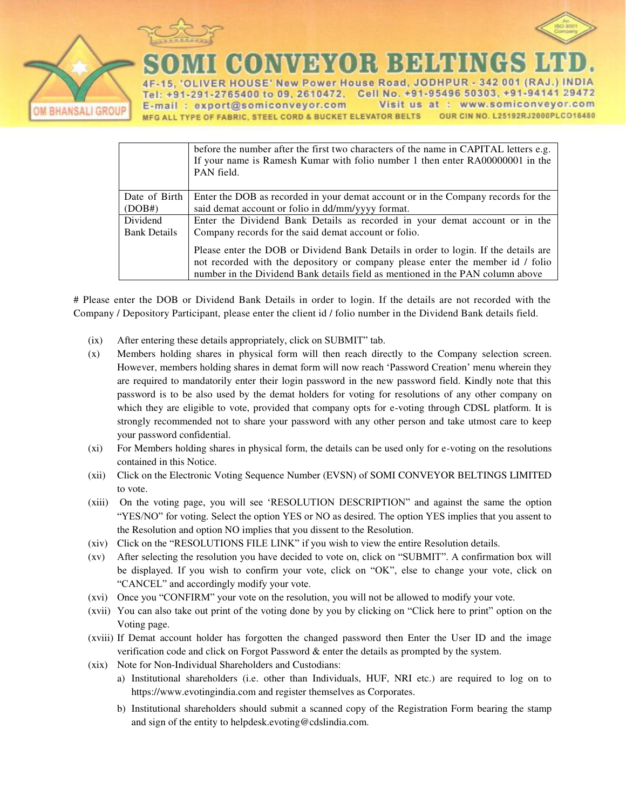

**BHANSALI GROU** 



New Power House Road, JODHPUR - 342 001 (RAJ **HOUS** Cell No. +91-95496 50303, +91-94141 29472 2765400 to 09, 2610472, Te  $+9$ www.somiconveyor.com export@somiconveyor.com Visit us at E-mail MFG ALL TYPE OF FABRIC, STEEL CORD & BUCKET ELEVATOR BELTS OUR CIN NO. L25192RJ2000PLCO16480

|                     | before the number after the first two characters of the name in CAPITAL letters e.g.<br>If your name is Ramesh Kumar with folio number 1 then enter RA00000001 in the<br>PAN field. |  |
|---------------------|-------------------------------------------------------------------------------------------------------------------------------------------------------------------------------------|--|
| Date of Birth       | Enter the DOB as recorded in your demat account or in the Company records for the                                                                                                   |  |
| (DOB#)              | said demat account or folio in dd/mm/yyyy format.                                                                                                                                   |  |
| Dividend            | Enter the Dividend Bank Details as recorded in your demat account or in the                                                                                                         |  |
| <b>Bank Details</b> | Company records for the said demat account or folio.                                                                                                                                |  |
|                     | Please enter the DOB or Dividend Bank Details in order to login. If the details are<br>not recorded with the depository or company please enter the member id / folio               |  |
|                     |                                                                                                                                                                                     |  |
|                     | number in the Dividend Bank details field as mentioned in the PAN column above                                                                                                      |  |

# Please enter the DOB or Dividend Bank Details in order to login. If the details are not recorded with the Company / Depository Participant, please enter the client id / folio number in the Dividend Bank details field.

- (ix) After entering these details appropriately, click on SUBMIT" tab.
- (x) Members holding shares in physical form will then reach directly to the Company selection screen. However, members holding shares in demat form will now reach "Password Creation" menu wherein they are required to mandatorily enter their login password in the new password field. Kindly note that this password is to be also used by the demat holders for voting for resolutions of any other company on which they are eligible to vote, provided that company opts for e-voting through CDSL platform. It is strongly recommended not to share your password with any other person and take utmost care to keep your password confidential.
- (xi) For Members holding shares in physical form, the details can be used only for e-voting on the resolutions contained in this Notice.
- (xii) Click on the Electronic Voting Sequence Number (EVSN) of SOMI CONVEYOR BELTINGS LIMITED to vote.
- (xiii) On the voting page, you will see "RESOLUTION DESCRIPTION" and against the same the option "YES/NO" for voting. Select the option YES or NO as desired. The option YES implies that you assent to the Resolution and option NO implies that you dissent to the Resolution.
- (xiv) Click on the "RESOLUTIONS FILE LINK" if you wish to view the entire Resolution details.
- (xv) After selecting the resolution you have decided to vote on, click on "SUBMIT". A confirmation box will be displayed. If you wish to confirm your vote, click on "OK", else to change your vote, click on "CANCEL" and accordingly modify your vote.
- (xvi) Once you "CONFIRM" your vote on the resolution, you will not be allowed to modify your vote.
- (xvii) You can also take out print of the voting done by you by clicking on "Click here to print" option on the Voting page.
- (xviii) If Demat account holder has forgotten the changed password then Enter the User ID and the image verification code and click on Forgot Password & enter the details as prompted by the system.
- (xix) Note for Non-Individual Shareholders and Custodians:
	- a) Institutional shareholders (i.e. other than Individuals, HUF, NRI etc.) are required to log on to https://www.evotingindia.com and register themselves as Corporates.
	- b) Institutional shareholders should submit a scanned copy of the Registration Form bearing the stamp and sign of the entity to helpdesk.evoting@cdslindia.com.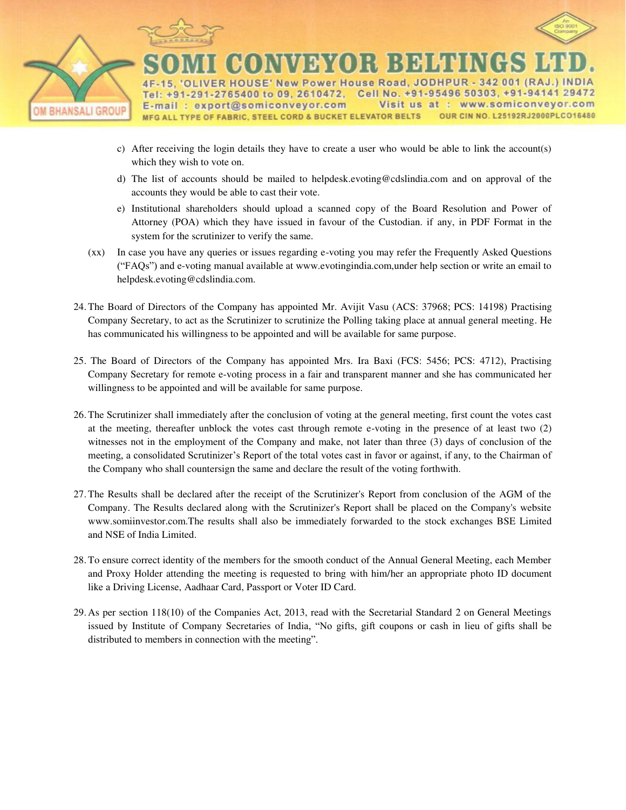

- c) After receiving the login details they have to create a user who would be able to link the account(s) which they wish to vote on.
- d) The list of accounts should be mailed to helpdesk.evoting@cdslindia.com and on approval of the accounts they would be able to cast their vote.
- e) Institutional shareholders should upload a scanned copy of the Board Resolution and Power of Attorney (POA) which they have issued in favour of the Custodian. if any, in PDF Format in the system for the scrutinizer to verify the same.
- (xx) In case you have any queries or issues regarding e-voting you may refer the Frequently Asked Questions ("FAQs") and e-voting manual available at www.evotingindia.com,under help section or write an email to helpdesk.evoting@cdslindia.com.
- 24. The Board of Directors of the Company has appointed Mr. Avijit Vasu (ACS: 37968; PCS: 14198) Practising Company Secretary, to act as the Scrutinizer to scrutinize the Polling taking place at annual general meeting. He has communicated his willingness to be appointed and will be available for same purpose.
- 25. The Board of Directors of the Company has appointed Mrs. Ira Baxi (FCS: 5456; PCS: 4712), Practising Company Secretary for remote e-voting process in a fair and transparent manner and she has communicated her willingness to be appointed and will be available for same purpose.
- 26. The Scrutinizer shall immediately after the conclusion of voting at the general meeting, first count the votes cast at the meeting, thereafter unblock the votes cast through remote e-voting in the presence of at least two (2) witnesses not in the employment of the Company and make, not later than three (3) days of conclusion of the meeting, a consolidated Scrutinizer"s Report of the total votes cast in favor or against, if any, to the Chairman of the Company who shall countersign the same and declare the result of the voting forthwith.
- 27. The Results shall be declared after the receipt of the Scrutinizer's Report from conclusion of the AGM of the Company. The Results declared along with the Scrutinizer's Report shall be placed on the Company's website www.somiinvestor.com.The results shall also be immediately forwarded to the stock exchanges BSE Limited and NSE of India Limited.
- 28. To ensure correct identity of the members for the smooth conduct of the Annual General Meeting, each Member and Proxy Holder attending the meeting is requested to bring with him/her an appropriate photo ID document like a Driving License, Aadhaar Card, Passport or Voter ID Card.
- 29. As per section 118(10) of the Companies Act, 2013, read with the Secretarial Standard 2 on General Meetings issued by Institute of Company Secretaries of India, "No gifts, gift coupons or cash in lieu of gifts shall be distributed to members in connection with the meeting".